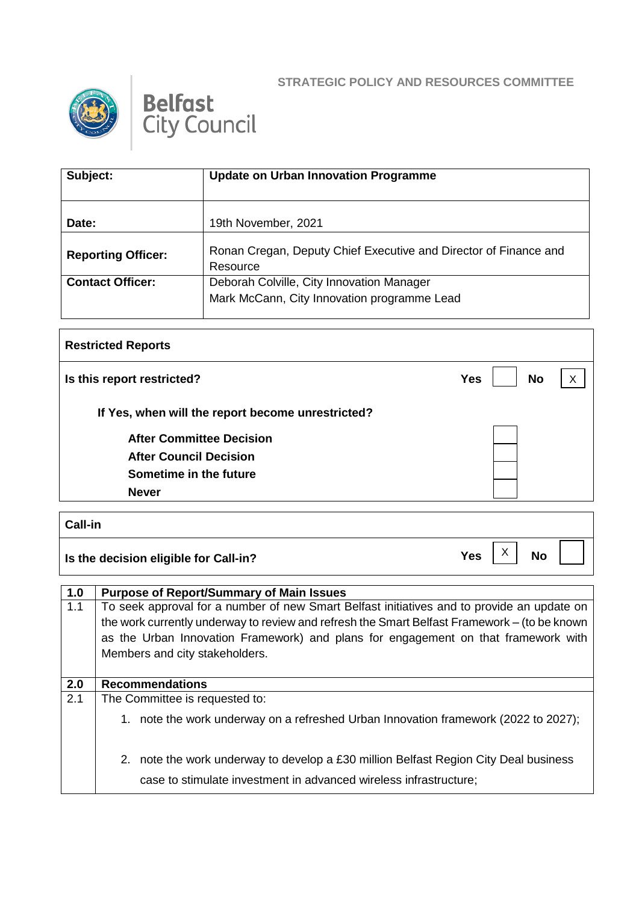

 $\vert x \vert$ 





| Subject:                  | <b>Update on Urban Innovation Programme</b>                                  |
|---------------------------|------------------------------------------------------------------------------|
|                           |                                                                              |
| Date:                     | 19th November, 2021                                                          |
| <b>Reporting Officer:</b> | Ronan Cregan, Deputy Chief Executive and Director of Finance and<br>Resource |
| <b>Contact Officer:</b>   | Deborah Colville, City Innovation Manager                                    |
|                           | Mark McCann, City Innovation programme Lead                                  |

| <b>Restricted Reports</b>                         |                         |   |
|---------------------------------------------------|-------------------------|---|
| Is this report restricted?                        | <b>No</b><br><b>Yes</b> | X |
| If Yes, when will the report become unrestricted? |                         |   |
| <b>After Committee Decision</b>                   |                         |   |
| <b>After Council Decision</b>                     |                         |   |
| Sometime in the future                            |                         |   |
| <b>Never</b>                                      |                         |   |
|                                                   |                         |   |
| <b>Call-in</b>                                    |                         |   |

| Is the decision eligible for Call-in? | Yes $ X $ No |  |
|---------------------------------------|--------------|--|
|---------------------------------------|--------------|--|

| 1.0 | <b>Purpose of Report/Summary of Main Issues</b>                                                                                                           |
|-----|-----------------------------------------------------------------------------------------------------------------------------------------------------------|
| 1.1 | To seek approval for a number of new Smart Belfast initiatives and to provide an update on                                                                |
|     | the work currently underway to review and refresh the Smart Belfast Framework – (to be known                                                              |
|     | as the Urban Innovation Framework) and plans for engagement on that framework with                                                                        |
|     | Members and city stakeholders.                                                                                                                            |
|     |                                                                                                                                                           |
| 2.0 | <b>Recommendations</b>                                                                                                                                    |
| 2.1 | The Committee is requested to:                                                                                                                            |
|     | 1. note the work underway on a refreshed Urban Innovation framework (2022 to 2027);                                                                       |
|     | 2. note the work underway to develop a £30 million Belfast Region City Deal business<br>case to stimulate investment in advanced wireless infrastructure; |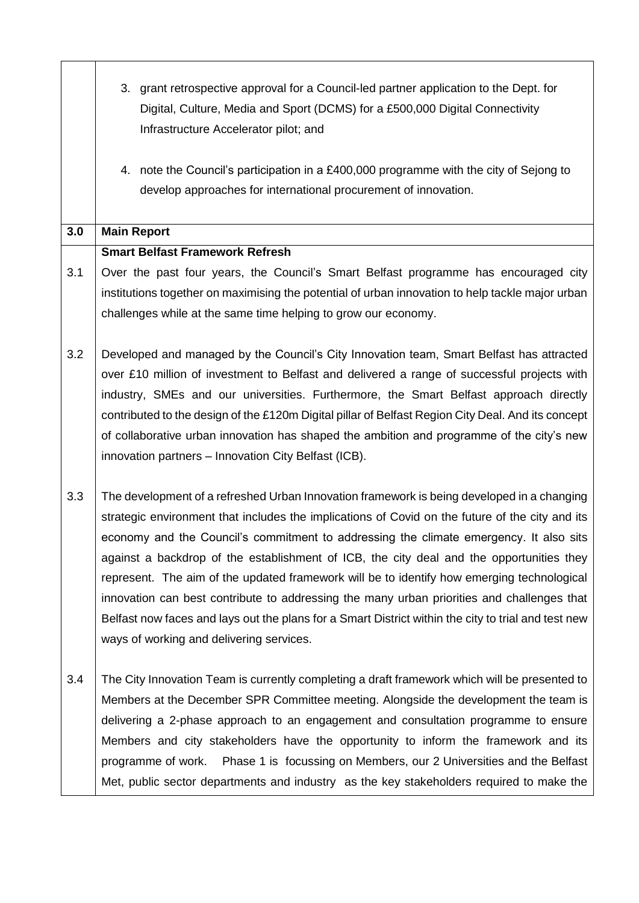|     | 3. grant retrospective approval for a Council-led partner application to the Dept. for<br>Digital, Culture, Media and Sport (DCMS) for a £500,000 Digital Connectivity<br>Infrastructure Accelerator pilot; and<br>4. note the Council's participation in a £400,000 programme with the city of Sejong to<br>develop approaches for international procurement of innovation.                                                                                                                                                                                                                                                                                                                                                       |
|-----|------------------------------------------------------------------------------------------------------------------------------------------------------------------------------------------------------------------------------------------------------------------------------------------------------------------------------------------------------------------------------------------------------------------------------------------------------------------------------------------------------------------------------------------------------------------------------------------------------------------------------------------------------------------------------------------------------------------------------------|
| 3.0 | <b>Main Report</b>                                                                                                                                                                                                                                                                                                                                                                                                                                                                                                                                                                                                                                                                                                                 |
|     | <b>Smart Belfast Framework Refresh</b>                                                                                                                                                                                                                                                                                                                                                                                                                                                                                                                                                                                                                                                                                             |
| 3.1 | Over the past four years, the Council's Smart Belfast programme has encouraged city<br>institutions together on maximising the potential of urban innovation to help tackle major urban<br>challenges while at the same time helping to grow our economy.                                                                                                                                                                                                                                                                                                                                                                                                                                                                          |
| 3.2 | Developed and managed by the Council's City Innovation team, Smart Belfast has attracted<br>over £10 million of investment to Belfast and delivered a range of successful projects with<br>industry, SMEs and our universities. Furthermore, the Smart Belfast approach directly<br>contributed to the design of the £120m Digital pillar of Belfast Region City Deal. And its concept<br>of collaborative urban innovation has shaped the ambition and programme of the city's new<br>innovation partners - Innovation City Belfast (ICB).                                                                                                                                                                                        |
| 3.3 | The development of a refreshed Urban Innovation framework is being developed in a changing<br>strategic environment that includes the implications of Covid on the future of the city and its<br>economy and the Council's commitment to addressing the climate emergency. It also sits<br>against a backdrop of the establishment of ICB, the city deal and the opportunities they<br>represent. The aim of the updated framework will be to identify how emerging technological<br>innovation can best contribute to addressing the many urban priorities and challenges that<br>Belfast now faces and lays out the plans for a Smart District within the city to trial and test new<br>ways of working and delivering services. |
| 3.4 | The City Innovation Team is currently completing a draft framework which will be presented to<br>Members at the December SPR Committee meeting. Alongside the development the team is<br>delivering a 2-phase approach to an engagement and consultation programme to ensure<br>Members and city stakeholders have the opportunity to inform the framework and its<br>programme of work. Phase 1 is focussing on Members, our 2 Universities and the Belfast<br>Met, public sector departments and industry as the key stakeholders required to make the                                                                                                                                                                           |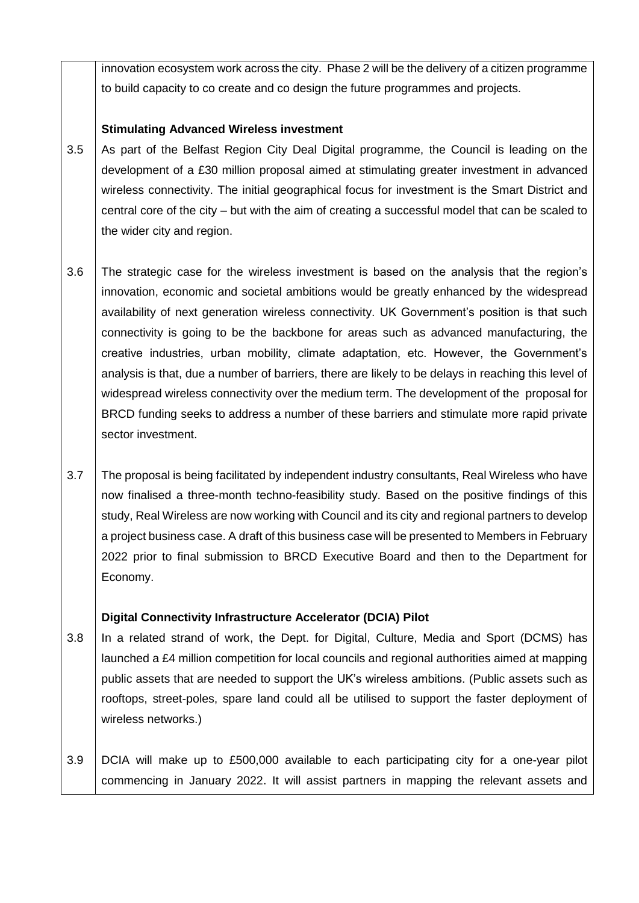innovation ecosystem work across the city. Phase 2 will be the delivery of a citizen programme to build capacity to co create and co design the future programmes and projects.

## **Stimulating Advanced Wireless investment**

- 3.5 As part of the Belfast Region City Deal Digital programme, the Council is leading on the development of a £30 million proposal aimed at stimulating greater investment in advanced wireless connectivity. The initial geographical focus for investment is the Smart District and central core of the city – but with the aim of creating a successful model that can be scaled to the wider city and region.
- 3.6 The strategic case for the wireless investment is based on the analysis that the region's innovation, economic and societal ambitions would be greatly enhanced by the widespread availability of next generation wireless connectivity. UK Government's position is that such connectivity is going to be the backbone for areas such as advanced manufacturing, the creative industries, urban mobility, climate adaptation, etc. However, the Government's analysis is that, due a number of barriers, there are likely to be delays in reaching this level of widespread wireless connectivity over the medium term. The development of the proposal for BRCD funding seeks to address a number of these barriers and stimulate more rapid private sector investment.
- 3.7 The proposal is being facilitated by independent industry consultants, Real Wireless who have now finalised a three-month techno-feasibility study. Based on the positive findings of this study, Real Wireless are now working with Council and its city and regional partners to develop a project business case. A draft of this business case will be presented to Members in February 2022 prior to final submission to BRCD Executive Board and then to the Department for Economy.

## **Digital Connectivity Infrastructure Accelerator (DCIA) Pilot**

- 3.8 In a related strand of work, the Dept. for Digital, Culture, Media and Sport (DCMS) has launched a £4 million competition for local councils and regional authorities aimed at mapping public assets that are needed to support the UK's wireless ambitions. (Public assets such as rooftops, street-poles, spare land could all be utilised to support the faster deployment of wireless networks.)
- 3.9 DCIA will make up to £500,000 available to each participating city for a one-year pilot commencing in January 2022. It will assist partners in mapping the relevant assets and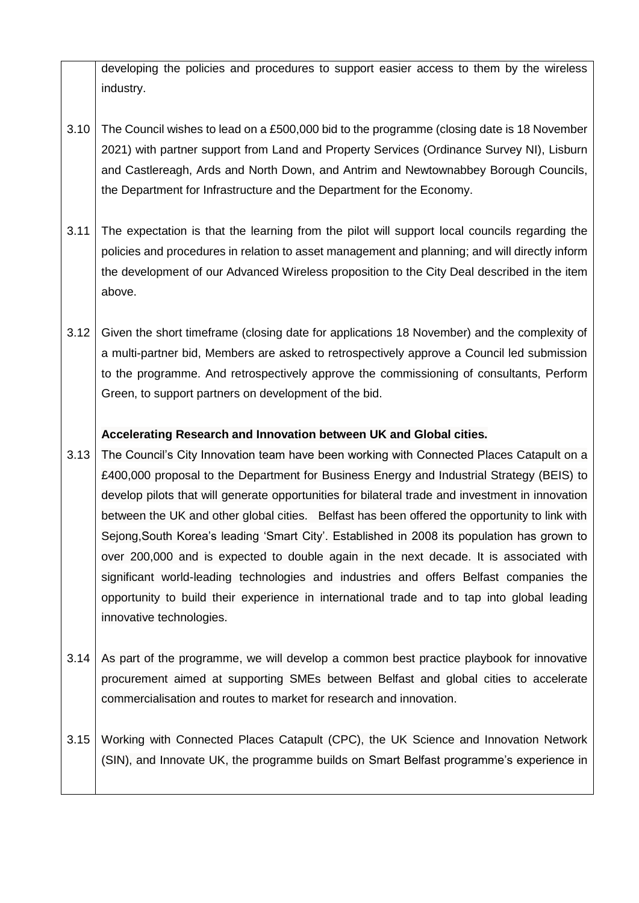developing the policies and procedures to support easier access to them by the wireless industry.

- 3.10 The Council wishes to lead on a £500,000 bid to the programme (closing date is 18 November 2021) with partner support from Land and Property Services (Ordinance Survey NI), Lisburn and Castlereagh, Ards and North Down, and Antrim and Newtownabbey Borough Councils, the Department for Infrastructure and the Department for the Economy.
- 3.11 The expectation is that the learning from the pilot will support local councils regarding the policies and procedures in relation to asset management and planning; and will directly inform the development of our Advanced Wireless proposition to the City Deal described in the item above.
- 3.12 Given the short timeframe (closing date for applications 18 November) and the complexity of a multi-partner bid, Members are asked to retrospectively approve a Council led submission to the programme. And retrospectively approve the commissioning of consultants, Perform Green, to support partners on development of the bid.

## **Accelerating Research and Innovation between UK and Global cities.**

- 3.13 The Council's City Innovation team have been working with Connected Places Catapult on a £400,000 proposal to the Department for Business Energy and Industrial Strategy (BEIS) to develop pilots that will generate opportunities for bilateral trade and investment in innovation between the UK and other global cities. Belfast has been offered the opportunity to link with Sejong,South Korea's leading 'Smart City'. Established in 2008 its population has grown to over 200,000 and is expected to double again in the next decade. It is associated with significant world-leading technologies and industries and offers Belfast companies the opportunity to build their experience in international trade and to tap into global leading innovative technologies.
- 3.14 As part of the programme, we will develop a common best practice playbook for innovative procurement aimed at supporting SMEs between Belfast and global cities to accelerate commercialisation and routes to market for research and innovation.
- 3.15 Working with Connected Places Catapult (CPC), the UK Science and Innovation Network (SIN), and Innovate UK, the programme builds on Smart Belfast programme's experience in